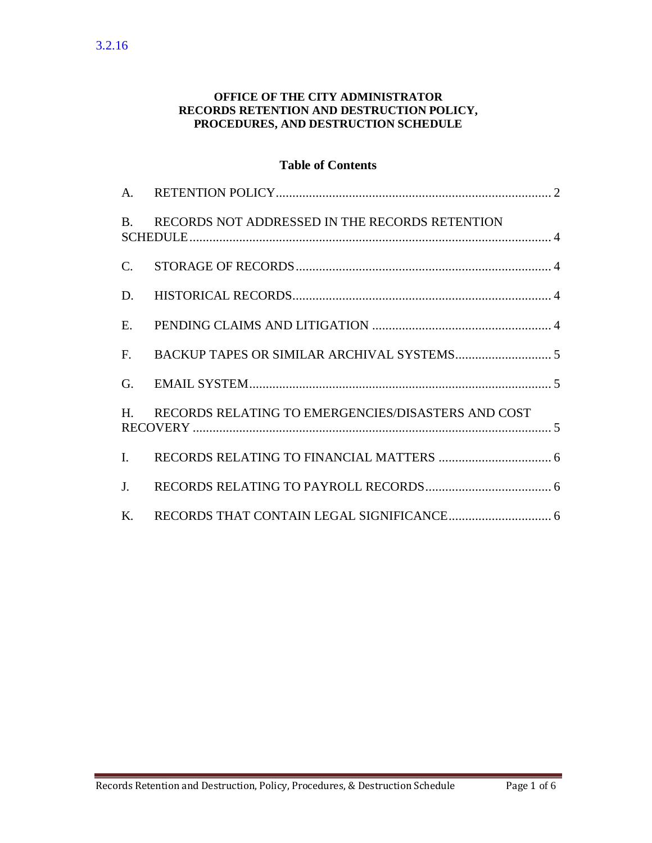#### **OFFICE OF THE CITY ADMINISTRATOR RECORDS RETENTION AND DESTRUCTION POLICY, PROCEDURES, AND DESTRUCTION SCHEDULE**

### **Table of Contents**

| $\mathbf{B}$ . | RECORDS NOT ADDRESSED IN THE RECORDS RETENTION     |
|----------------|----------------------------------------------------|
| $\mathbf{C}$ . |                                                    |
| D.             |                                                    |
| E.             |                                                    |
|                |                                                    |
| G.             |                                                    |
| $H_{\perp}$    | RECORDS RELATING TO EMERGENCIES/DISASTERS AND COST |
| $\mathbf{I}$ . |                                                    |
| $J_{\cdot}$    |                                                    |
| K.             |                                                    |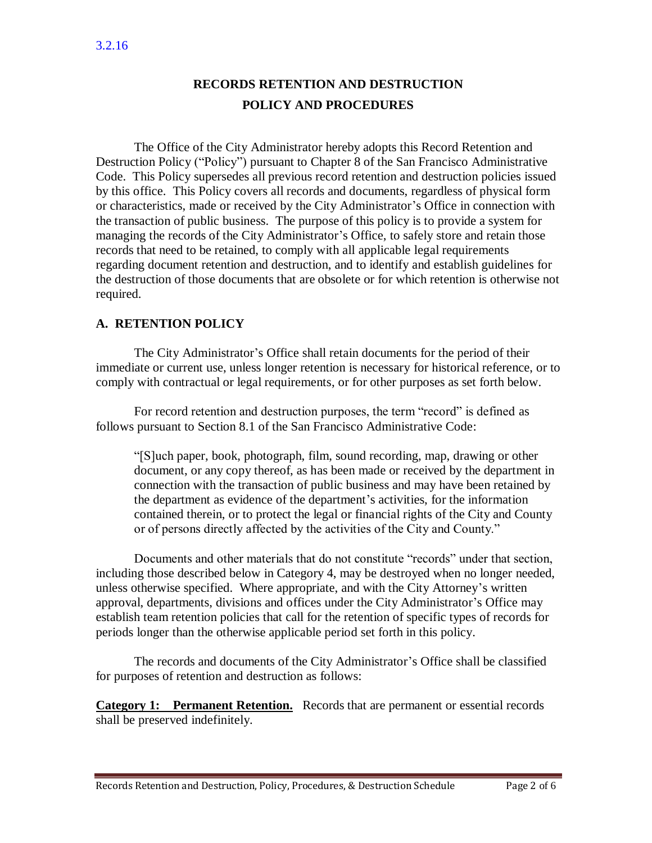# **RECORDS RETENTION AND DESTRUCTION POLICY AND PROCEDURES**

The Office of the City Administrator hereby adopts this Record Retention and Destruction Policy ("Policy") pursuant to Chapter 8 of the San Francisco Administrative Code. This Policy supersedes all previous record retention and destruction policies issued by this office. This Policy covers all records and documents, regardless of physical form or characteristics, made or received by the City Administrator's Office in connection with the transaction of public business. The purpose of this policy is to provide a system for managing the records of the City Administrator's Office, to safely store and retain those records that need to be retained, to comply with all applicable legal requirements regarding document retention and destruction, and to identify and establish guidelines for the destruction of those documents that are obsolete or for which retention is otherwise not required.

### <span id="page-1-0"></span>**A. RETENTION POLICY**

The City Administrator's Office shall retain documents for the period of their immediate or current use, unless longer retention is necessary for historical reference, or to comply with contractual or legal requirements, or for other purposes as set forth below.

For record retention and destruction purposes, the term "record" is defined as follows pursuant to Section 8.1 of the San Francisco Administrative Code:

"[S]uch paper, book, photograph, film, sound recording, map, drawing or other document, or any copy thereof, as has been made or received by the department in connection with the transaction of public business and may have been retained by the department as evidence of the department's activities, for the information contained therein, or to protect the legal or financial rights of the City and County or of persons directly affected by the activities of the City and County."

Documents and other materials that do not constitute "records" under that section, including those described below in Category 4, may be destroyed when no longer needed, unless otherwise specified. Where appropriate, and with the City Attorney's written approval, departments, divisions and offices under the City Administrator's Office may establish team retention policies that call for the retention of specific types of records for periods longer than the otherwise applicable period set forth in this policy.

The records and documents of the City Administrator's Office shall be classified for purposes of retention and destruction as follows:

**Category 1: Permanent Retention.** Records that are permanent or essential records shall be preserved indefinitely.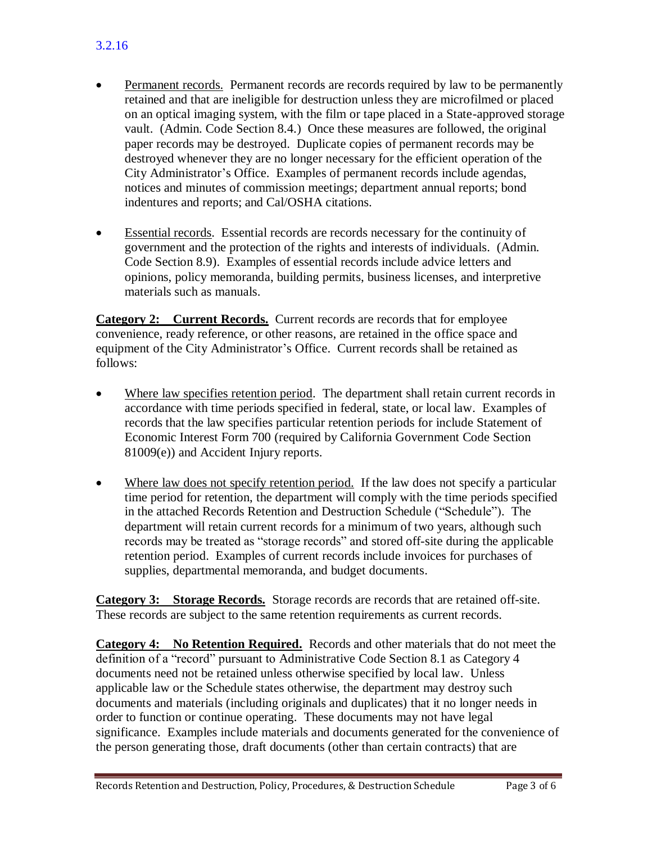- Permanent records. Permanent records are records required by law to be permanently retained and that are ineligible for destruction unless they are microfilmed or placed on an optical imaging system, with the film or tape placed in a State-approved storage vault. (Admin. Code Section 8.4.) Once these measures are followed, the original paper records may be destroyed. Duplicate copies of permanent records may be destroyed whenever they are no longer necessary for the efficient operation of the City Administrator's Office. Examples of permanent records include agendas, notices and minutes of commission meetings; department annual reports; bond indentures and reports; and Cal/OSHA citations.
- Essential records. Essential records are records necessary for the continuity of government and the protection of the rights and interests of individuals. (Admin. Code Section 8.9). Examples of essential records include advice letters and opinions, policy memoranda, building permits, business licenses, and interpretive materials such as manuals.

**Category 2: Current Records.** Current records are records that for employee convenience, ready reference, or other reasons, are retained in the office space and equipment of the City Administrator's Office. Current records shall be retained as follows:

- Where law specifies retention period. The department shall retain current records in accordance with time periods specified in federal, state, or local law. Examples of records that the law specifies particular retention periods for include Statement of Economic Interest Form 700 (required by California Government Code Section 81009(e)) and Accident Injury reports.
- Where law does not specify retention period. If the law does not specify a particular time period for retention, the department will comply with the time periods specified in the attached Records Retention and Destruction Schedule ("Schedule"). The department will retain current records for a minimum of two years, although such records may be treated as "storage records" and stored off-site during the applicable retention period. Examples of current records include invoices for purchases of supplies, departmental memoranda, and budget documents.

**Category 3: Storage Records.** Storage records are records that are retained off-site. These records are subject to the same retention requirements as current records.

**Category 4: No Retention Required.** Records and other materials that do not meet the definition of a "record" pursuant to Administrative Code Section 8.1 as Category 4 documents need not be retained unless otherwise specified by local law. Unless applicable law or the Schedule states otherwise, the department may destroy such documents and materials (including originals and duplicates) that it no longer needs in order to function or continue operating. These documents may not have legal significance. Examples include materials and documents generated for the convenience of the person generating those, draft documents (other than certain contracts) that are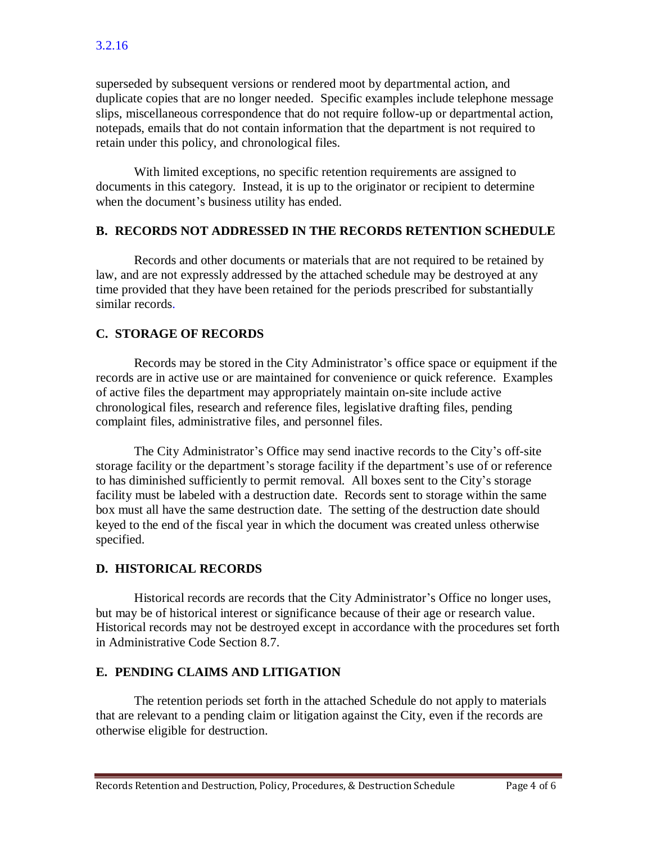superseded by subsequent versions or rendered moot by departmental action, and duplicate copies that are no longer needed. Specific examples include telephone message slips, miscellaneous correspondence that do not require follow-up or departmental action, notepads, emails that do not contain information that the department is not required to retain under this policy, and chronological files.

With limited exceptions, no specific retention requirements are assigned to documents in this category. Instead, it is up to the originator or recipient to determine when the document's business utility has ended.

#### <span id="page-3-0"></span>**B. RECORDS NOT ADDRESSED IN THE RECORDS RETENTION SCHEDULE**

Records and other documents or materials that are not required to be retained by law, and are not expressly addressed by the attached schedule may be destroyed at any time provided that they have been retained for the periods prescribed for substantially similar records.

# <span id="page-3-1"></span>**C. STORAGE OF RECORDS**

Records may be stored in the City Administrator's office space or equipment if the records are in active use or are maintained for convenience or quick reference. Examples of active files the department may appropriately maintain on-site include active chronological files, research and reference files, legislative drafting files, pending complaint files, administrative files, and personnel files.

The City Administrator's Office may send inactive records to the City's off-site storage facility or the department's storage facility if the department's use of or reference to has diminished sufficiently to permit removal. All boxes sent to the City's storage facility must be labeled with a destruction date. Records sent to storage within the same box must all have the same destruction date. The setting of the destruction date should keyed to the end of the fiscal year in which the document was created unless otherwise specified.

### <span id="page-3-2"></span>**D. HISTORICAL RECORDS**

Historical records are records that the City Administrator's Office no longer uses, but may be of historical interest or significance because of their age or research value. Historical records may not be destroyed except in accordance with the procedures set forth in Administrative Code Section 8.7.

#### <span id="page-3-3"></span>**E. PENDING CLAIMS AND LITIGATION**

The retention periods set forth in the attached Schedule do not apply to materials that are relevant to a pending claim or litigation against the City, even if the records are otherwise eligible for destruction.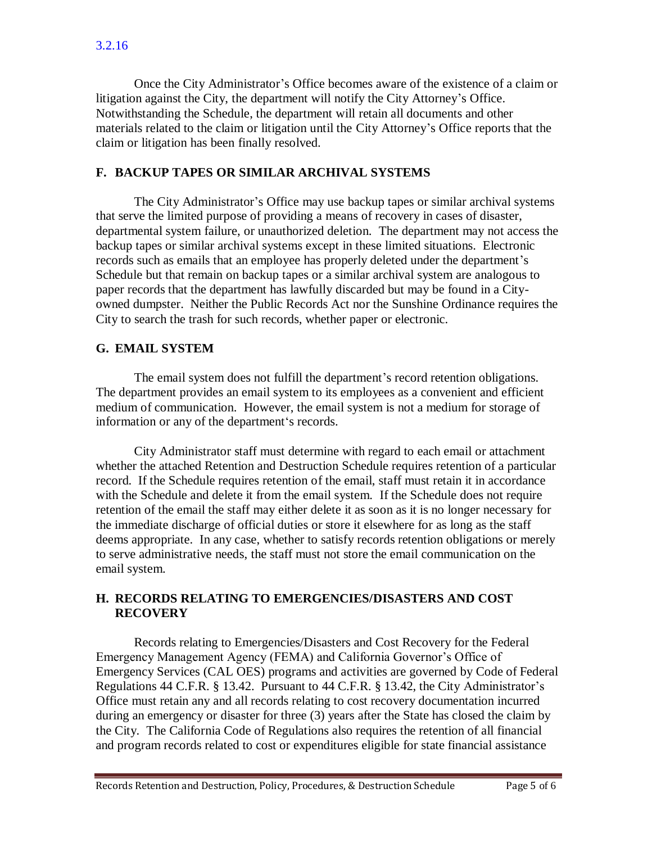Once the City Administrator's Office becomes aware of the existence of a claim or litigation against the City, the department will notify the City Attorney's Office. Notwithstanding the Schedule, the department will retain all documents and other materials related to the claim or litigation until the City Attorney's Office reports that the claim or litigation has been finally resolved.

### <span id="page-4-0"></span>**F. BACKUP TAPES OR SIMILAR ARCHIVAL SYSTEMS**

The City Administrator's Office may use backup tapes or similar archival systems that serve the limited purpose of providing a means of recovery in cases of disaster, departmental system failure, or unauthorized deletion. The department may not access the backup tapes or similar archival systems except in these limited situations. Electronic records such as emails that an employee has properly deleted under the department's Schedule but that remain on backup tapes or a similar archival system are analogous to paper records that the department has lawfully discarded but may be found in a Cityowned dumpster. Neither the Public Records Act nor the Sunshine Ordinance requires the City to search the trash for such records, whether paper or electronic.

# <span id="page-4-1"></span>**G. EMAIL SYSTEM**

The email system does not fulfill the department's record retention obligations. The department provides an email system to its employees as a convenient and efficient medium of communication. However, the email system is not a medium for storage of information or any of the department's records.

City Administrator staff must determine with regard to each email or attachment whether the attached Retention and Destruction Schedule requires retention of a particular record. If the Schedule requires retention of the email, staff must retain it in accordance with the Schedule and delete it from the email system. If the Schedule does not require retention of the email the staff may either delete it as soon as it is no longer necessary for the immediate discharge of official duties or store it elsewhere for as long as the staff deems appropriate. In any case, whether to satisfy records retention obligations or merely to serve administrative needs, the staff must not store the email communication on the email system.

### <span id="page-4-2"></span>**H. RECORDS RELATING TO EMERGENCIES/DISASTERS AND COST RECOVERY**

Records relating to Emergencies/Disasters and Cost Recovery for the Federal Emergency Management Agency (FEMA) and California Governor's Office of Emergency Services (CAL OES) programs and activities are governed by Code of Federal Regulations 44 C.F.R. § 13.42. Pursuant to 44 C.F.R. § 13.42, the City Administrator's Office must retain any and all records relating to cost recovery documentation incurred during an emergency or disaster for three (3) years after the State has closed the claim by the City. The California Code of Regulations also requires the retention of all financial and program records related to cost or expenditures eligible for state financial assistance